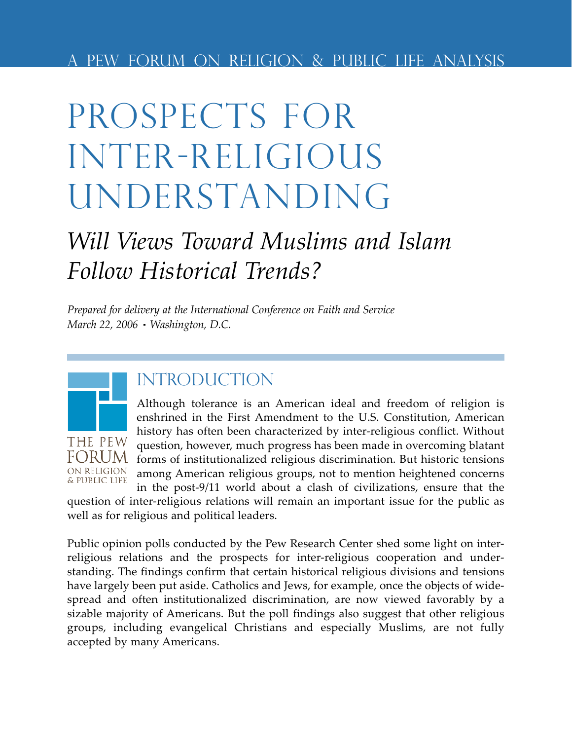# Prospects for Inter-religious UNDERSTANDING

## *Will Views Toward Muslims and Islam Follow Historical Trends?*

*Prepared for delivery at the International Conference on Faith and Service March 22, 2006 Washington, D.C.*



### **INTRODUCTION**

Although tolerance is an American ideal and freedom of religion is enshrined in the First Amendment to the U.S. Constitution, American history has often been characterized by inter-religious conflict. Without question, however, much progress has been made in overcoming blatant forms of institutionalized religious discrimination. But historic tensions among American religious groups, not to mention heightened concerns in the post-9/11 world about a clash of civilizations, ensure that the

question of inter-religious relations will remain an important issue for the public as well as for religious and political leaders.

Public opinion polls conducted by the Pew Research Center shed some light on interreligious relations and the prospects for inter-religious cooperation and understanding. The findings confirm that certain historical religious divisions and tensions have largely been put aside. Catholics and Jews, for example, once the objects of widespread and often institutionalized discrimination, are now viewed favorably by a sizable majority of Americans. But the poll findings also suggest that other religious groups, including evangelical Christians and especially Muslims, are not fully accepted by many Americans.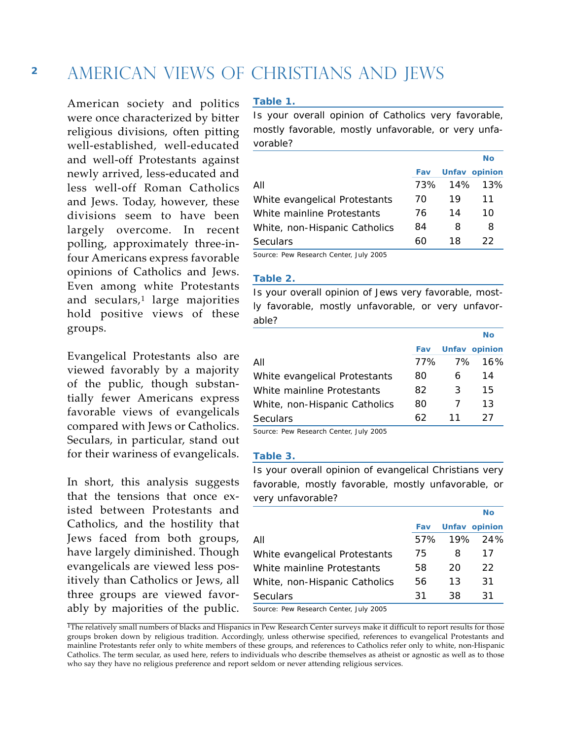### AMERICAN VIEWS OF CHRISTIANS AND JEWS

American society and politics were once characterized by bitter religious divisions, often pitting well-established, well-educated and well-off Protestants against newly arrived, less-educated and less well-off Roman Catholics and Jews. Today, however, these divisions seem to have been largely overcome. In recent polling, approximately three-infour Americans express favorable opinions of Catholics and Jews. Even among white Protestants and seculars,<sup>1</sup> large majorities hold positive views of these groups.

Evangelical Protestants also are viewed favorably by a majority of the public, though substantially fewer Americans express favorable views of evangelicals compared with Jews or Catholics. Seculars, in particular, stand out for their wariness of evangelicals.

In short, this analysis suggests that the tensions that once existed between Protestants and Catholics, and the hostility that Jews faced from both groups, have largely diminished. Though evangelicals are viewed less positively than Catholics or Jews, all three groups are viewed favorably by majorities of the public.

#### **Table 1.**

*Is your overall opinion of Catholics very favorable, mostly favorable, mostly unfavorable, or very unfavorable?*

|                               |     |     | No                   |
|-------------------------------|-----|-----|----------------------|
|                               | Fav |     | <b>Unfav opinion</b> |
| All                           | 73% | 14% | 13%                  |
| White evangelical Protestants | 70  | 19  | 11                   |
| White mainline Protestants    | 76  | 14  | 10                   |
| White, non-Hispanic Catholics | 84  | 8   | 8                    |
| <b>Seculars</b>               | 60  | 18  | 22                   |

Source: Pew Research Center, July 2005

#### **Table 2.**

*Is your overall opinion of Jews very favorable, mostly favorable, mostly unfavorable, or very unfavorable?*

|                               |     |    | No                   |
|-------------------------------|-----|----|----------------------|
|                               | Fav |    | <b>Unfav opinion</b> |
| All                           | 77% | 7% | 16%                  |
| White evangelical Protestants | 80  | 6  | 14                   |
| White mainline Protestants    | 82  | 3  | 15                   |
| White, non-Hispanic Catholics | 80  |    | 13                   |
| <b>Seculars</b>               | 62  | 11 | 27                   |
|                               |     |    |                      |

Source: Pew Research Center, July 2005

#### **Table 3.**

*Is your overall opinion of evangelical Christians very favorable, mostly favorable, mostly unfavorable, or very unfavorable?*

|                               |     |     | No            |
|-------------------------------|-----|-----|---------------|
|                               | Fav |     | Unfav opinion |
| All                           | 57% |     | 19% 24%       |
| White evangelical Protestants | 75  | 8   | 17            |
| White mainline Protestants    | 58  | 20  | 22.           |
| White, non-Hispanic Catholics | 56  | 13  | 31            |
| Seculars                      | 31  | 38. | 31            |
|                               |     |     |               |

Source: Pew Research Center, July 2005

<sup>&</sup>lt;sup>1</sup>The relatively small numbers of blacks and Hispanics in Pew Research Center surveys make it difficult to report results for those groups broken down by religious tradition. Accordingly, unless otherwise specified, references to evangelical Protestants and mainline Protestants refer only to white members of these groups, and references to Catholics refer only to white, non-Hispanic Catholics. The term secular, as used here, refers to individuals who describe themselves as atheist or agnostic as well as to those who say they have no religious preference and report seldom or never attending religious services.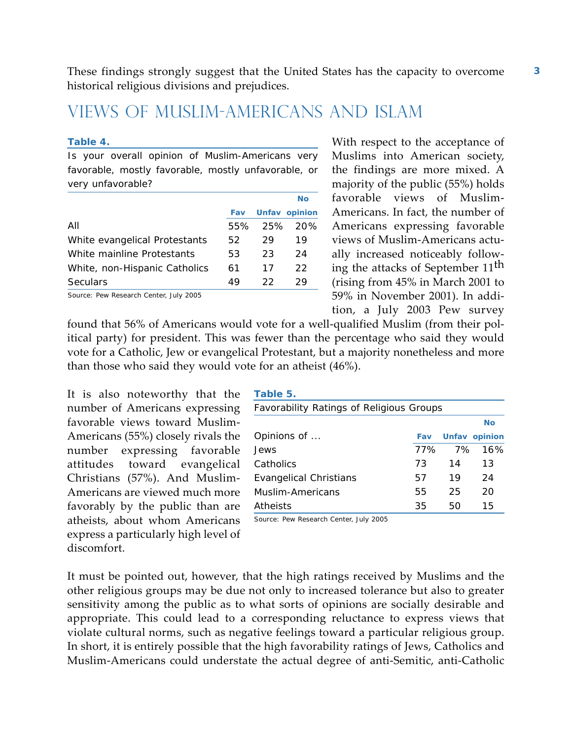These findings strongly suggest that the United States has the capacity to overcome historical religious divisions and prejudices.

### Views of Muslim-Americans and Islam

#### **Table 4.**

*Is your overall opinion of Muslim-Americans very favorable, mostly favorable, mostly unfavorable, or very unfavorable?*

|                                       |     |     | No                   |
|---------------------------------------|-----|-----|----------------------|
|                                       | Fav |     | <b>Unfav opinion</b> |
| All                                   | 55% |     | 25% 20%              |
| White evangelical Protestants         | 52  | 29  | 19                   |
| White mainline Protestants            | 53  | 23  | 24                   |
| White, non-Hispanic Catholics         | 61  | 17  | 22.                  |
| Seculars                              | 49  | 22. | 29                   |
| Course: Dow Desearch Conter July 2005 |     |     |                      |

Source: Pew Research Center, July 2005

With respect to the acceptance of Muslims into American society, the findings are more mixed. A majority of the public (55%) holds favorable views of Muslim-Americans. In fact, the number of Americans expressing favorable views of Muslim-Americans actually increased noticeably following the attacks of September 11th (rising from 45% in March 2001 to 59% in November 2001). In addition, a July 2003 Pew survey

found that 56% of Americans would vote for a well-qualified Muslim (from their political party) for president. This was fewer than the percentage who said they would vote for a Catholic, Jew or evangelical Protestant, but a majority nonetheless and more than those who said they would vote for an atheist (46%).

It is also noteworthy that the number of Americans expressing favorable views toward Muslim-Americans (55%) closely rivals the number expressing favorable attitudes toward evangelical Christians (57%). And Muslim-Americans are viewed much more favorably by the public than are atheists, about whom Americans express a particularly high level of discomfort.

| Table 5.                                 |     |    |               |
|------------------------------------------|-----|----|---------------|
| Favorability Ratings of Religious Groups |     |    |               |
|                                          |     |    | Nο            |
| Opinions of                              | Fav |    | Unfav opinion |
| <b>Jews</b>                              | 77% | 7% | 16%           |
| Catholics                                | 73  | 14 | 13            |
| Evangelical Christians                   | 57  | 19 | 24            |
| Muslim-Americans                         | 55  | 25 | 20            |
| Atheists                                 | 35  | 50 | 15            |

Source: Pew Research Center, July 2005

It must be pointed out, however, that the high ratings received by Muslims and the other religious groups may be due not only to increased tolerance but also to greater sensitivity among the public as to what sorts of opinions are socially desirable and appropriate. This could lead to a corresponding reluctance to express views that violate cultural norms, such as negative feelings toward a particular religious group. In short, it is entirely possible that the high favorability ratings of Jews, Catholics and Muslim-Americans could understate the actual degree of anti-Semitic, anti-Catholic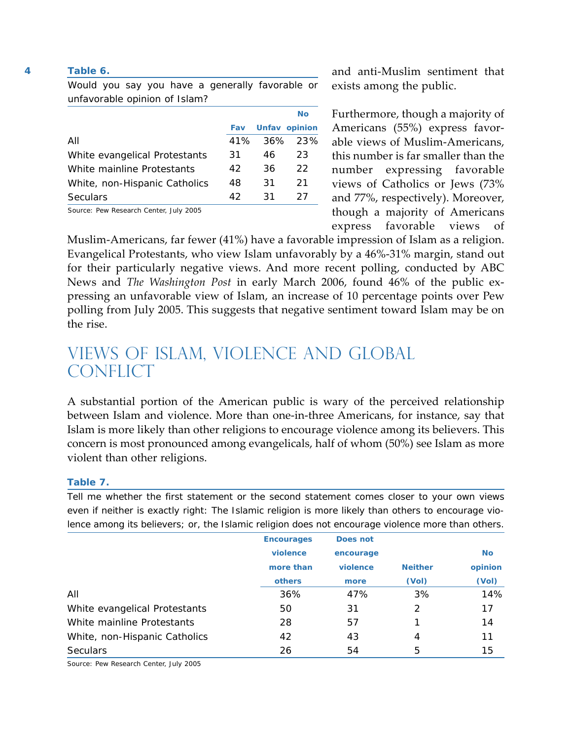#### **Table 6.**

*Would you say you have a generally favorable or unfavorable opinion of Islam?*

|                                        |     |    | <b>No</b>            |
|----------------------------------------|-----|----|----------------------|
|                                        | Fav |    | <b>Unfav opinion</b> |
| All                                    | 41% |    | $36\%$ 23%           |
| White evangelical Protestants          | 31  | 46 | 23                   |
| White mainline Protestants             | 42  | 36 | 22.                  |
| White, non-Hispanic Catholics          | 48  | 31 | 21                   |
| Seculars                               | 42  | 31 | 27                   |
| Course, Daw Dessarch Capter, July 2005 |     |    |                      |

Source: Pew Research Center, July 2005

and anti-Muslim sentiment that exists among the public.

Furthermore, though a majority of Americans (55%) express favorable views of Muslim-Americans, this number is far smaller than the number expressing favorable views of Catholics or Jews (73% and 77%, respectively). Moreover, though a majority of Americans express favorable views of

Muslim-Americans, far fewer (41%) have a favorable impression of Islam as a religion. Evangelical Protestants, who view Islam unfavorably by a 46%-31% margin, stand out for their particularly negative views. And more recent polling, conducted by ABC News and *The Washington Post* in early March 2006, found 46% of the public expressing an unfavorable view of Islam, an increase of 10 percentage points over Pew polling from July 2005. This suggests that negative sentiment toward Islam may be on the rise.

### Views of Islam, Violence and Global **CONFLICT**

A substantial portion of the American public is wary of the perceived relationship between Islam and violence. More than one-in-three Americans, for instance, say that Islam is more likely than other religions to encourage violence among its believers. This concern is most pronounced among evangelicals, half of whom (50%) see Islam as more violent than other religions.

#### **Table 7.**

*Tell me whether the first statement or the second statement comes closer to your own views even if neither is exactly right: The Islamic religion is more likely than others to encourage violence among its believers; or, the Islamic religion does not encourage violence more than others.*

|                               | <b>Encourages</b> | Does not  |                |           |
|-------------------------------|-------------------|-----------|----------------|-----------|
|                               | violence          | encourage |                | <b>No</b> |
|                               | more than         | violence  | <b>Neither</b> | opinion   |
|                               | others            | more      | (Vol)          | (Vol)     |
| All                           | 36%               | 47%       | 3%             | 14%       |
| White evangelical Protestants | 50                | 31        | 2              | 17        |
| White mainline Protestants    | 28                | 57        |                | 14        |
| White, non-Hispanic Catholics | 42                | 43        | 4              | 11        |
| <b>Seculars</b>               | 26                | 54        | 5              | 15        |

Source: Pew Research Center, July 2005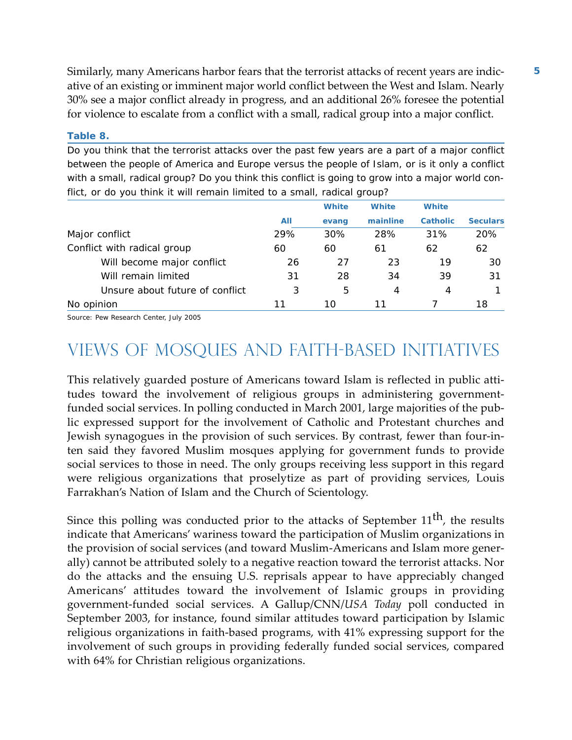Similarly, many Americans harbor fears that the terrorist attacks of recent years are indicative of an existing or imminent major world conflict between the West and Islam. Nearly 30% see a major conflict already in progress, and an additional 26% foresee the potential for violence to escalate from a conflict with a small, radical group into a major conflict.

### **Table 8.**

*Do you think that the terrorist attacks over the past few years are a part of a major conflict between the people of America and Europe versus the people of Islam, or is it only a conflict with a small, radical group? Do you think this conflict is going to grow into a major world conflict, or do you think it will remain limited to a small, radical group?*

|                                 |     | White | <b>White</b> | <b>White</b>    |                 |
|---------------------------------|-----|-------|--------------|-----------------|-----------------|
|                                 | All | evang | mainline     | <b>Catholic</b> | <b>Seculars</b> |
| Major conflict                  | 29% | 30%   | 28%          | 31%             | 20%             |
| Conflict with radical group     | 60  | 60    | 61           | 62              | 62              |
| Will become major conflict      | 26  | 27    | 23           | 19              | 30              |
| Will remain limited             | 31  | 28    | 34           | 39              | 31              |
| Unsure about future of conflict | 3   | 5     | 4            | 4               |                 |
| opinion<br>No.                  | 11  | 10    | 11           |                 | 18              |

Source: Pew Research Center, July 2005

### Views of Mosques and Faith-Based Initiatives

This relatively guarded posture of Americans toward Islam is reflected in public attitudes toward the involvement of religious groups in administering governmentfunded social services. In polling conducted in March 2001, large majorities of the public expressed support for the involvement of Catholic and Protestant churches and Jewish synagogues in the provision of such services. By contrast, fewer than four-inten said they favored Muslim mosques applying for government funds to provide social services to those in need. The only groups receiving less support in this regard were religious organizations that proselytize as part of providing services, Louis Farrakhan's Nation of Islam and the Church of Scientology.

Since this polling was conducted prior to the attacks of September 11<sup>th</sup>, the results indicate that Americans' wariness toward the participation of Muslim organizations in the provision of social services (and toward Muslim-Americans and Islam more generally) cannot be attributed solely to a negative reaction toward the terrorist attacks. Nor do the attacks and the ensuing U.S. reprisals appear to have appreciably changed Americans' attitudes toward the involvement of Islamic groups in providing government-funded social services. A Gallup/CNN/*USA Today* poll conducted in September 2003, for instance, found similar attitudes toward participation by Islamic religious organizations in faith-based programs, with 41% expressing support for the involvement of such groups in providing federally funded social services, compared with 64% for Christian religious organizations.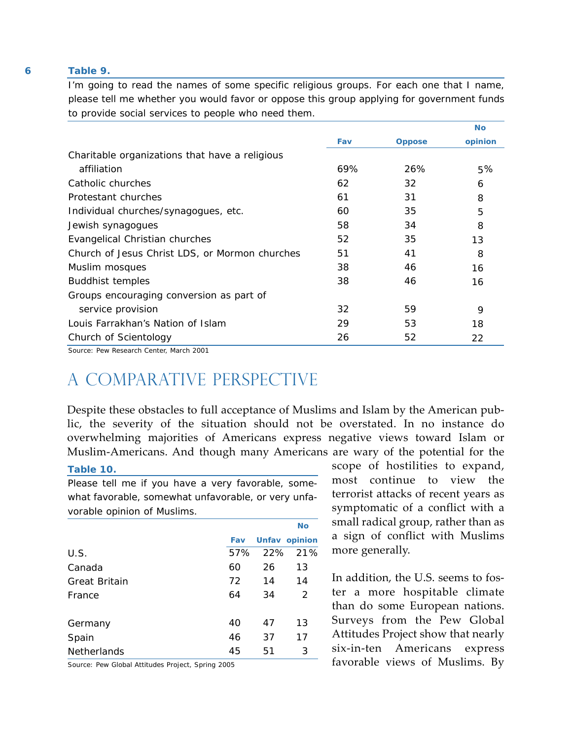#### **Table 9.**

*I'm going to read the names of some specific religious groups. For each one that I name, please tell me whether you would favor or oppose this group applying for government funds to provide social services to people who need them.*

|                                                |     |               | <b>No</b> |
|------------------------------------------------|-----|---------------|-----------|
|                                                | Fav | <b>Oppose</b> | opinion   |
| Charitable organizations that have a religious |     |               |           |
| affiliation                                    | 69% | 26%           | 5%        |
| Catholic churches                              | 62  | 32            | 6         |
| Protestant churches                            | 61  | 31            | 8         |
| Individual churches/synagogues, etc.           | 60  | 35            | 5         |
| Jewish synagogues                              | 58  | 34            | 8         |
| Evangelical Christian churches                 | 52  | 35            | 13        |
| Church of Jesus Christ LDS, or Mormon churches | 51  | 41            | 8         |
| Muslim mosques                                 | 38  | 46            | 16        |
| <b>Buddhist temples</b>                        | 38  | 46            | 16        |
| Groups encouraging conversion as part of       |     |               |           |
| service provision                              | 32  | 59            | 9         |
| Louis Farrakhan's Nation of Islam              | 29  | 53            | 18        |
| Church of Scientology                          | 26  | 52            | 22        |

Source: Pew Research Center, March 2001

### A Comparative Perspective

Despite these obstacles to full acceptance of Muslims and Islam by the American public, the severity of the situation should not be overstated. In no instance do overwhelming majorities of Americans express negative views toward Islam or Muslim-Americans. And though many Americans are wary of the potential for the

#### **Table 10.**

*Please tell me if you have a very favorable, somewhat favorable, somewhat unfavorable, or very unfavorable opinion of Muslims.*

|                      |     |    | <b>No</b>            |
|----------------------|-----|----|----------------------|
|                      | Fav |    | <b>Unfav opinion</b> |
| U.S.                 | 57% |    | 22% 21%              |
| Canada               | 60  | 26 | 13                   |
| <b>Great Britain</b> | 72  | 14 | 14                   |
| France               | 64  | 34 | $\mathcal{P}$        |
| Germany              | 40  | 47 | 13                   |
| Spain                | 46  | 37 | 17                   |
| Netherlands          | 45  | 51 | 3                    |

Source: Pew Global Attitudes Project, Spring 2005

scope of hostilities to expand, most continue to view the terrorist attacks of recent years as symptomatic of a conflict with a small radical group, rather than as a sign of conflict with Muslims more generally.

In addition, the U.S. seems to foster a more hospitable climate than do some European nations. Surveys from the Pew Global Attitudes Project show that nearly six-in-ten Americans express favorable views of Muslims. By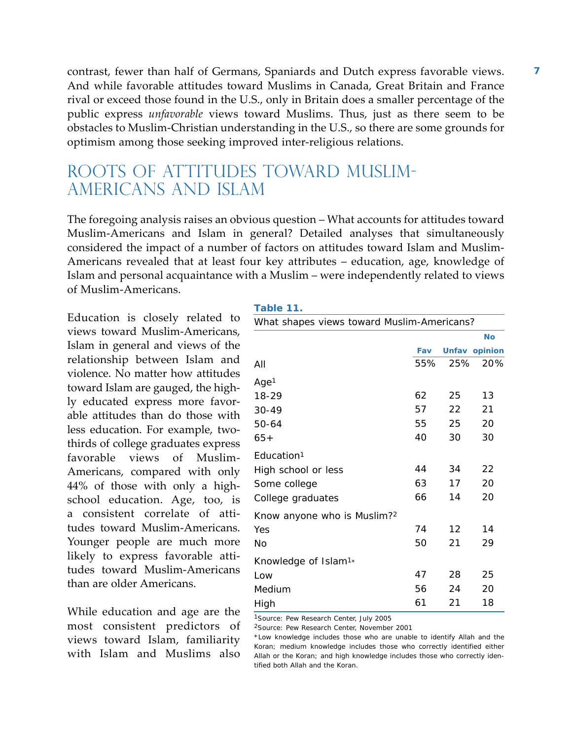contrast, fewer than half of Germans, Spaniards and Dutch express favorable views. And while favorable attitudes toward Muslims in Canada, Great Britain and France rival or exceed those found in the U.S., only in Britain does a smaller percentage of the public express *unfavorable* views toward Muslims. Thus, just as there seem to be obstacles to Muslim-Christian understanding in the U.S., so there are some grounds for optimism among those seeking improved inter-religious relations.

### Roots of Attitudes Toward Muslim-Americans and Islam

The foregoing analysis raises an obvious question – What accounts for attitudes toward Muslim-Americans and Islam in general? Detailed analyses that simultaneously considered the impact of a number of factors on attitudes toward Islam and Muslim-Americans revealed that at least four key attributes – education, age, knowledge of Islam and personal acquaintance with a Muslim – were independently related to views of Muslim-Americans.

Education is closely related to views toward Muslim-Americans, Islam in general and views of the relationship between Islam and violence. No matter how attitudes toward Islam are gauged, the highly educated express more favorable attitudes than do those with less education. For example, twothirds of college graduates express favorable views of Muslim-Americans, compared with only 44% of those with only a highschool education. Age, too, is a consistent correlate of attitudes toward Muslim-Americans. Younger people are much more likely to express favorable attitudes toward Muslim-Americans than are older Americans.

While education and age are the most consistent predictors of views toward Islam, familiarity with Islam and Muslims also

|  | . . | ٠. |  |  |  |  |
|--|-----|----|--|--|--|--|
|--|-----|----|--|--|--|--|

| What shapes views toward Muslim-Americans? |     |     |               |
|--------------------------------------------|-----|-----|---------------|
|                                            |     |     | <b>No</b>     |
|                                            | Fav |     | Unfav opinion |
| All                                        | 55% | 25% | 20%           |
| Age <sup>1</sup>                           |     |     |               |
| 18-29                                      | 62  | 25  | 13            |
| $30 - 49$                                  | 57  | 22  | 21            |
| 50-64                                      | 55  | 25  | 20            |
| $65+$                                      | 40  | 30  | 30            |
| Education <sup>1</sup>                     |     |     |               |
| High school or less                        | 44  | 34  | 22            |
| Some college                               | 63  | 17  | 20            |
| College graduates                          | 66  | 14  | 20            |
| Know anyone who is Muslim? <sup>2</sup>    |     |     |               |
| Yes                                        | 74  | 12  | 14            |
| No                                         | 50  | 21  | 29            |
| Knowledge of Islam <sup>1</sup> *          |     |     |               |
| Low                                        | 47  | 28  | 25            |
| Medium                                     | 56  | 24  | 20            |
| High                                       | 61  | 21  | 18            |

1Source: Pew Research Center, July 2005

2Source: Pew Research Center, November 2001

\*Low knowledge includes those who are unable to identify Allah and the Koran; medium knowledge includes those who correctly identified either Allah or the Koran; and high knowledge includes those who correctly identified both Allah and the Koran.